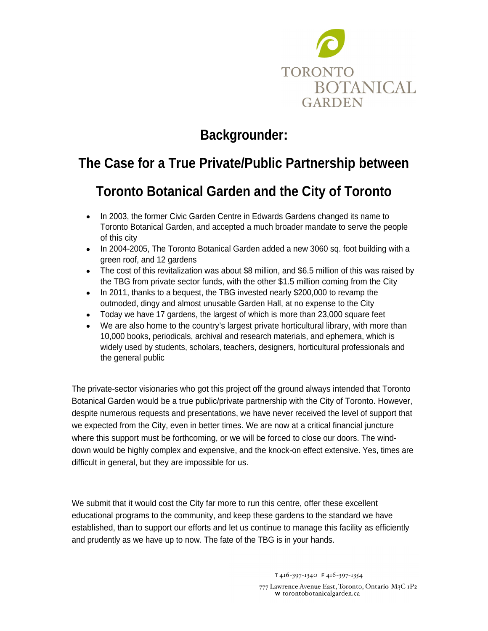

# **Backgrounder:**

# **The Case for a True Private/Public Partnership between**

### **Toronto Botanical Garden and the City of Toronto**

- In 2003, the former Civic Garden Centre in Edwards Gardens changed its name to Toronto Botanical Garden, and accepted a much broader mandate to serve the people of this city
- In 2004-2005, The Toronto Botanical Garden added a new 3060 sq. foot building with a green roof, and 12 gardens
- The cost of this revitalization was about \$8 million, and \$6.5 million of this was raised by the TBG from private sector funds, with the other \$1.5 million coming from the City
- In 2011, thanks to a bequest, the TBG invested nearly \$200,000 to revamp the outmoded, dingy and almost unusable Garden Hall, at no expense to the City
- Today we have 17 gardens, the largest of which is more than 23,000 square feet
- We are also home to the country's largest private horticultural library, with more than 10,000 books, periodicals, archival and research materials, and ephemera, which is widely used by students, scholars, teachers, designers, horticultural professionals and the general public

The private-sector visionaries who got this project off the ground always intended that Toronto Botanical Garden would be a true public/private partnership with the City of Toronto. However, despite numerous requests and presentations, we have never received the level of support that we expected from the City, even in better times. We are now at a critical financial juncture where this support must be forthcoming, or we will be forced to close our doors. The wind down would be highly complex and expensive, and the knock-on effect extensive. Yes, times are difficult in general, but they are impossible for us.

We submit that it would cost the City far more to run this centre, offer these excellent educational programs to the community, and keep these gardens to the standard we have established, than to support our efforts and let us continue to manage this facility as efficiently and prudently as we have up to now. The fate of the TBG is in your hands.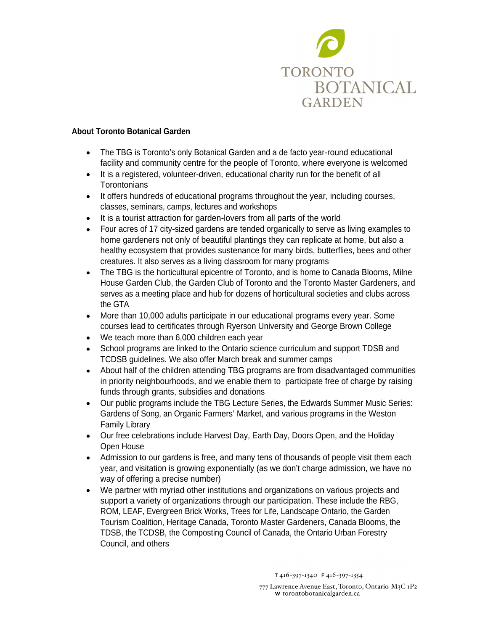

#### **About Toronto Botanical Garden**

- The TBG is Toronto's only Botanical Garden and a de facto year-round educational facility and community centre for the people of Toronto, where everyone is welcomed
- It is a registered, volunteer-driven, educational charity run for the benefit of all Torontonians
- It offers hundreds of educational programs throughout the year, including courses, classes, seminars, camps, lectures and workshops
- It is a tourist attraction for garden-lovers from all parts of the world
- Four acres of 17 city-sized gardens are tended organically to serve as living examples to home gardeners not only of beautiful plantings they can replicate at home, but also a healthy ecosystem that provides sustenance for many birds, butterflies, bees and other creatures. It also serves as a living classroom for many programs
- The TBG is the horticultural epicentre of Toronto, and is home to Canada Blooms, Milne House Garden Club, the Garden Club of Toronto and the Toronto Master Gardeners, and serves as a meeting place and hub for dozens of horticultural societies and clubs across the GTA
- More than 10,000 adults participate in our educational programs every year. Some courses lead to certificates through Ryerson University and George Brown College
- We teach more than 6,000 children each year
- School programs are linked to the Ontario science curriculum and support TDSB and TCDSB guidelines. We also offer March break and summer camps
- About half of the children attending TBG programs are from disadvantaged communities in priority neighbourhoods, and we enable them to participate free of charge by raising funds through grants, subsidies and donations
- Our public programs include the TBG Lecture Series, the Edwards Summer Music Series: Gardens of Song, an Organic Farmers' Market, and various programs in the Weston Family Library
- Our free celebrations include Harvest Day, Earth Day, Doors Open, and the Holiday Open House
- Admission to our gardens is free, and many tens of thousands of people visit them each year, and visitation is growing exponentially (as we don't charge admission, we have no way of offering a precise number)
- We partner with myriad other institutions and organizations on various projects and support a variety of organizations through our participation. These include the RBG, ROM, LEAF, Evergreen Brick Works, Trees for Life, Landscape Ontario, the Garden Tourism Coalition, Heritage Canada, Toronto Master Gardeners, Canada Blooms, the TDSB, the TCDSB, the Composting Council of Canada, the Ontario Urban Forestry Council, and others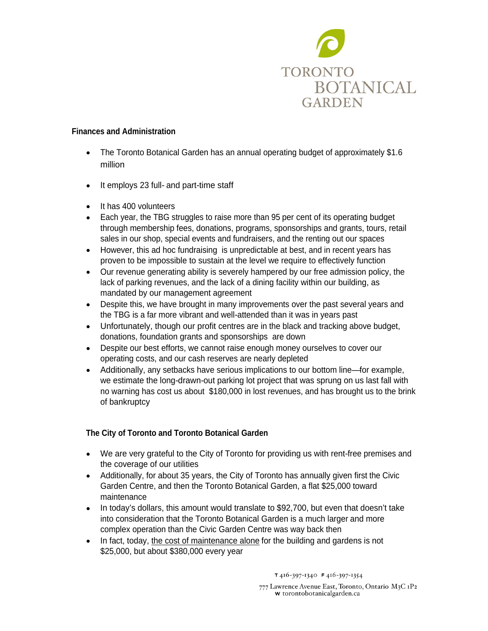

#### **Finances and Administration**

- The Toronto Botanical Garden has an annual operating budget of approximately \$1.6 million
- It employs 23 full- and part-time staff  $\bullet$
- It has 400 volunteers
- Each year, the TBG struggles to raise more than 95 per cent of its operating budget through membership fees, donations, programs, sponsorships and grants, tours, retail sales in our shop, special events and fundraisers, and the renting out our spaces
- However, this ad hoc fundraising is unpredictable at best, and in recent years has proven to be impossible to sustain at the level we require to effectively function
- Our revenue generating ability is severely hampered by our free admission policy, the lack of parking revenues, and the lack of a dining facility within our building, as mandated by our management agreement
- Despite this, we have brought in many improvements over the past several years and the TBG is a far more vibrant and well-attended than it was in years past
- Unfortunately, though our profit centres are in the black and tracking above budget, donations, foundation grants and sponsorships are down
- Despite our best efforts, we cannot raise enough money ourselves to cover our operating costs, and our cash reserves are nearly depleted
- Additionally, any setbacks have serious implications to our bottom line—for example, we estimate the long-drawn-out parking lot project that was sprung on us last fall with no warning has cost us about \$180,000 in lost revenues, and has brought us to the brink of bankruptcy

### **The City of Toronto and Toronto Botanical Garden**

- We are very grateful to the City of Toronto for providing us with rent-free premises and the coverage of our utilities
- Additionally, for about 35 years, the City of Toronto has annually given first the Civic Garden Centre, and then the Toronto Botanical Garden, a flat \$25,000 toward maintenance
- In today's dollars, this amount would translate to \$92,700, but even that doesn't take into consideration that the Toronto Botanical Garden is a much larger and more complex operation than the Civic Garden Centre was way back then
- In fact, today, the cost of maintenance alone for the building and gardens is not \$25,000, but about \$380,000 every year